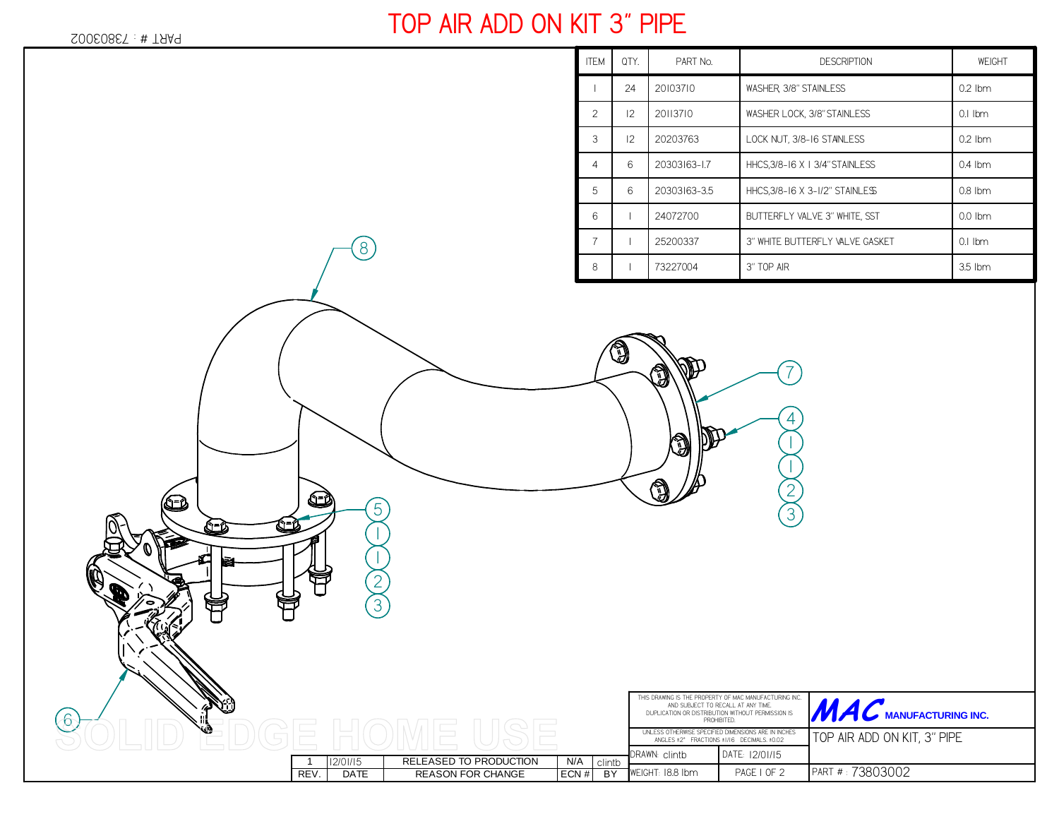Гł

ণি=৫

*6*

## **TOP AIR ADD ON KIT 3" PIPE**

| I<br><b>ITEM</b> | QTY. | PART No.     | <b>DESCRIPTION</b>              | WEIGHT    |
|------------------|------|--------------|---------------------------------|-----------|
|                  | 24   | 20103710     | WASHER 3/8" STAINLESS           | $0.2$ Ibm |
| $\overline{c}$   | 12   | 20113710     | WASHER LOCK, 3/8" STAINLESS     | $0.1$ Ibm |
| 3                | 12   | 20203763     | LOCK NUT, 3/8-16 STANLESS       | $0.2$ lbm |
| 4                | 6    | 20303163-17  | HHCS, 3/8-16 X 1 3/4" STAINLESS | $0.4$ lbm |
| 5                | 6    | 20303163-3.5 | HHCS, 3/8-16 X 3-1/2" STAINLESS | $0.8$ Ibm |
| 6                |      | 24072700     | BUTTERFLY VALVE 3" WHITE. SST   | $0.0$ lbm |
| 7                |      | 25200337     | 3" WHITE BUTTERFLY VALVE GASKET | $0.1$ Ibm |
| 8                |      | 73227004     | 3" TOP AIR                      | 3.5 lbm   |

*4*

*7*

*23*

THIS DRAWING IS THE PROPERTY OF MAC MANUFACTURING INC. AND SUBJECT TO RECALL AT ANY TIME. DUPLICATION OR DISTRIBUTION WITHOUT PERMISSION ISPROHIBITED.

UNLESS OTHERWISE SPECIFIED DIMENSIONS ARE IN INCHES ANGLES ±2° FRACTIONS ±1/16 DECIMALS. ±0.02

*PAGE 1 OF 2*

*12/01/15*

WEIGHT:*18.8 lbm*

J

٦

Ñ

 $ECN#$ 

*<sup>5</sup>*

 $BY$ 

<sup>1</sup> RELEASED TO PRODUCTION N/A *clintb*

REV. DATE REASON FOR CHANGE

*12/01/15*

*2*

G

*3*

*8*

DRAWN: DATE:*clintb*

WE WANT THE **MANUFACTURING INC.** 

PART # : *73803002*

*TOP AIR ADD ON KIT, 3" PIPE*